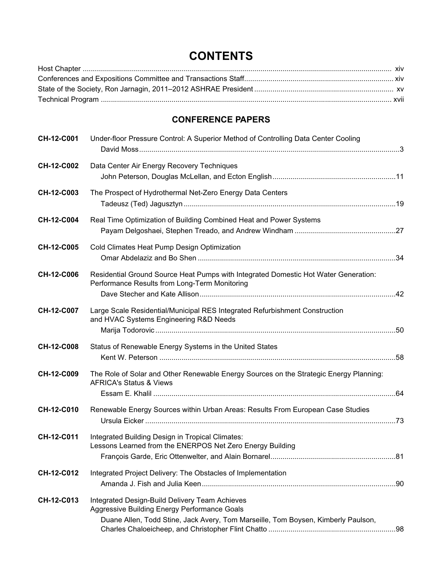## **CONTENTS**

## **CONFERENCE PAPERS**

| CH-12-C001 | Under-floor Pressure Control: A Superior Method of Controlling Data Center Cooling                                                                                                  |  |
|------------|-------------------------------------------------------------------------------------------------------------------------------------------------------------------------------------|--|
| CH-12-C002 | Data Center Air Energy Recovery Techniques                                                                                                                                          |  |
| CH-12-C003 | The Prospect of Hydrothermal Net-Zero Energy Data Centers                                                                                                                           |  |
| CH-12-C004 | Real Time Optimization of Building Combined Heat and Power Systems                                                                                                                  |  |
| CH-12-C005 | Cold Climates Heat Pump Design Optimization                                                                                                                                         |  |
| CH-12-C006 | Residential Ground Source Heat Pumps with Integrated Domestic Hot Water Generation:<br>Performance Results from Long-Term Monitoring                                                |  |
| CH-12-C007 | Large Scale Residential/Municipal RES Integrated Refurbishment Construction<br>and HVAC Systems Engineering R&D Needs                                                               |  |
| CH-12-C008 | Status of Renewable Energy Systems in the United States                                                                                                                             |  |
| CH-12-C009 | The Role of Solar and Other Renewable Energy Sources on the Strategic Energy Planning:<br><b>AFRICA's Status &amp; Views</b>                                                        |  |
| CH-12-C010 | Renewable Energy Sources within Urban Areas: Results From European Case Studies                                                                                                     |  |
| CH-12-C011 | Integrated Building Design in Tropical Climates:<br>Lessons Learned from the ENERPOS Net Zero Energy Building                                                                       |  |
| CH-12-C012 | Integrated Project Delivery: The Obstacles of Implementation                                                                                                                        |  |
| CH-12-C013 | Integrated Design-Build Delivery Team Achieves<br>Aggressive Building Energy Performance Goals<br>Duane Allen, Todd Stine, Jack Avery, Tom Marseille, Tom Boysen, Kimberly Paulson, |  |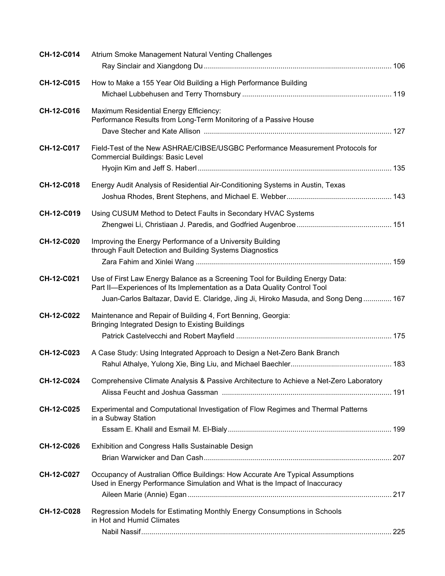| CH-12-C014        | Atrium Smoke Management Natural Venting Challenges                                                                                                                                                                                              |  |
|-------------------|-------------------------------------------------------------------------------------------------------------------------------------------------------------------------------------------------------------------------------------------------|--|
| CH-12-C015        | How to Make a 155 Year Old Building a High Performance Building                                                                                                                                                                                 |  |
| CH-12-C016        | Maximum Residential Energy Efficiency:<br>Performance Results from Long-Term Monitoring of a Passive House                                                                                                                                      |  |
| CH-12-C017        | Field-Test of the New ASHRAE/CIBSE/USGBC Performance Measurement Protocols for<br><b>Commercial Buildings: Basic Level</b>                                                                                                                      |  |
| CH-12-C018        | Energy Audit Analysis of Residential Air-Conditioning Systems in Austin, Texas                                                                                                                                                                  |  |
| CH-12-C019        | Using CUSUM Method to Detect Faults in Secondary HVAC Systems                                                                                                                                                                                   |  |
| CH-12-C020        | Improving the Energy Performance of a University Building<br>through Fault Detection and Building Systems Diagnostics                                                                                                                           |  |
| CH-12-C021        | Use of First Law Energy Balance as a Screening Tool for Building Energy Data:<br>Part II-Experiences of Its Implementation as a Data Quality Control Tool<br>Juan-Carlos Baltazar, David E. Claridge, Jing Ji, Hiroko Masuda, and Song Deng 167 |  |
| CH-12-C022        | Maintenance and Repair of Building 4, Fort Benning, Georgia:<br>Bringing Integrated Design to Existing Buildings                                                                                                                                |  |
| CH-12-C023        | A Case Study: Using Integrated Approach to Design a Net-Zero Bank Branch                                                                                                                                                                        |  |
| CH-12-C024        | Comprehensive Climate Analysis & Passive Architecture to Achieve a Net-Zero Laboratory                                                                                                                                                          |  |
| CH-12-C025        | Experimental and Computational Investigation of Flow Regimes and Thermal Patterns<br>in a Subway Station                                                                                                                                        |  |
| CH-12-C026        | Exhibition and Congress Halls Sustainable Design                                                                                                                                                                                                |  |
| CH-12-C027        | Occupancy of Australian Office Buildings: How Accurate Are Typical Assumptions<br>Used in Energy Performance Simulation and What is the Impact of Inaccuracy                                                                                    |  |
| <b>CH-12-C028</b> | Regression Models for Estimating Monthly Energy Consumptions in Schools<br>in Hot and Humid Climates                                                                                                                                            |  |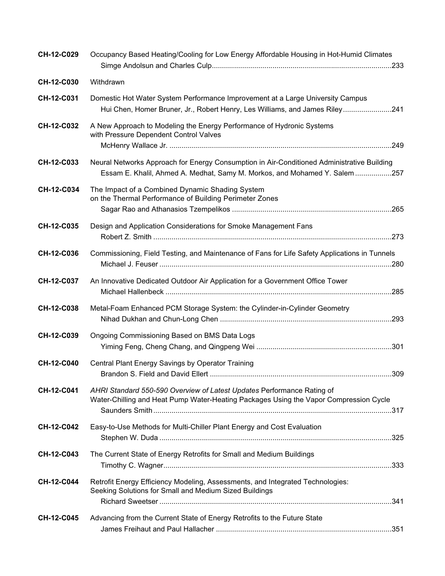| CH-12-C029 | Occupancy Based Heating/Cooling for Low Energy Affordable Housing in Hot-Humid Climates                                                                                  |
|------------|--------------------------------------------------------------------------------------------------------------------------------------------------------------------------|
| CH-12-C030 | Withdrawn                                                                                                                                                                |
| CH-12-C031 | Domestic Hot Water System Performance Improvement at a Large University Campus<br>Hui Chen, Homer Bruner, Jr., Robert Henry, Les Williams, and James Riley241            |
| CH-12-C032 | A New Approach to Modeling the Energy Performance of Hydronic Systems<br>with Pressure Dependent Control Valves                                                          |
| CH-12-C033 | Neural Networks Approach for Energy Consumption in Air-Conditioned Administrative Building<br>Essam E. Khalil, Ahmed A. Medhat, Samy M. Morkos, and Mohamed Y. Salem 257 |
| CH-12-C034 | The Impact of a Combined Dynamic Shading System<br>on the Thermal Performance of Building Perimeter Zones                                                                |
| CH-12-C035 | Design and Application Considerations for Smoke Management Fans                                                                                                          |
| CH-12-C036 | Commissioning, Field Testing, and Maintenance of Fans for Life Safety Applications in Tunnels                                                                            |
| CH-12-C037 | An Innovative Dedicated Outdoor Air Application for a Government Office Tower                                                                                            |
| CH-12-C038 | Metal-Foam Enhanced PCM Storage System: the Cylinder-in-Cylinder Geometry                                                                                                |
| CH-12-C039 | Ongoing Commissioning Based on BMS Data Logs                                                                                                                             |
| CH-12-C040 | Central Plant Energy Savings by Operator Training<br>.309                                                                                                                |
| CH-12-C041 | AHRI Standard 550-590 Overview of Latest Updates Performance Rating of<br>Water-Chilling and Heat Pump Water-Heating Packages Using the Vapor Compression Cycle          |
| CH-12-C042 | Easy-to-Use Methods for Multi-Chiller Plant Energy and Cost Evaluation                                                                                                   |
| CH-12-C043 | The Current State of Energy Retrofits for Small and Medium Buildings                                                                                                     |
| CH-12-C044 | Retrofit Energy Efficiency Modeling, Assessments, and Integrated Technologies:<br>Seeking Solutions for Small and Medium Sized Buildings                                 |
| CH-12-C045 | Advancing from the Current State of Energy Retrofits to the Future State                                                                                                 |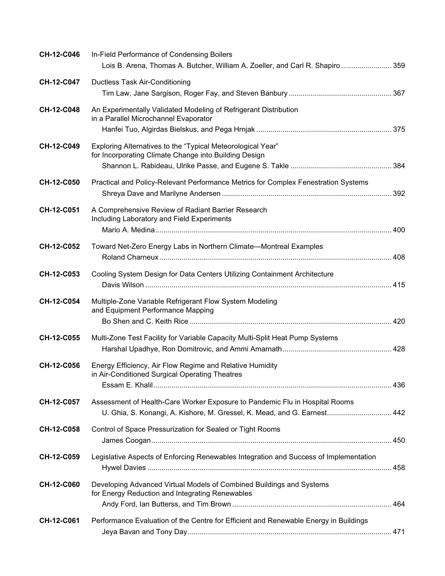| CH-12-C046        | In-Field Performance of Condensing Boilers<br>Lois B. Arena, Thomas A. Butcher, William A. Zoeller, and Carl R. Shapiro  359                            |  |
|-------------------|---------------------------------------------------------------------------------------------------------------------------------------------------------|--|
| CH-12-C047        | <b>Ductless Task Air-Conditioning</b>                                                                                                                   |  |
| CH-12-C048        | An Experimentally Validated Modeling of Refrigerant Distribution<br>in a Parallel Microchannel Evaporator                                               |  |
| CH-12-C049        | Exploring Alternatives to the "Typical Meteorological Year"<br>for Incorporating Climate Change into Building Design                                    |  |
| CH-12-C050        | Practical and Policy-Relevant Performance Metrics for Complex Fenestration Systems                                                                      |  |
| CH-12-C051        | A Comprehensive Review of Radiant Barrier Research<br>Including Laboratory and Field Experiments                                                        |  |
| CH-12-C052        | Toward Net-Zero Energy Labs in Northern Climate-Montreal Examples                                                                                       |  |
| CH-12-C053        | Cooling System Design for Data Centers Utilizing Containment Architecture                                                                               |  |
| CH-12-C054        | Multiple-Zone Variable Refrigerant Flow System Modeling<br>and Equipment Performance Mapping                                                            |  |
| CH-12-C055        | Multi-Zone Test Facility for Variable Capacity Multi-Split Heat Pump Systems                                                                            |  |
| <b>CH-12-C056</b> | Energy Efficiency, Air Flow Regime and Relative Humidity<br>in Air-Conditioned Surgical Operating Theatres                                              |  |
| CH-12-C057        | Assessment of Health-Care Worker Exposure to Pandemic Flu in Hospital Rooms<br>U. Ghia, S. Konangi, A. Kishore, M. Gressel, K. Mead, and G. Earnest 442 |  |
| CH-12-C058        | Control of Space Pressurization for Sealed or Tight Rooms                                                                                               |  |
| CH-12-C059        | Legislative Aspects of Enforcing Renewables Integration and Success of Implementation                                                                   |  |
| CH-12-C060        | Developing Advanced Virtual Models of Combined Buildings and Systems<br>for Energy Reduction and Integrating Renewables                                 |  |
| CH-12-C061        | Performance Evaluation of the Centre for Efficient and Renewable Energy in Buildings                                                                    |  |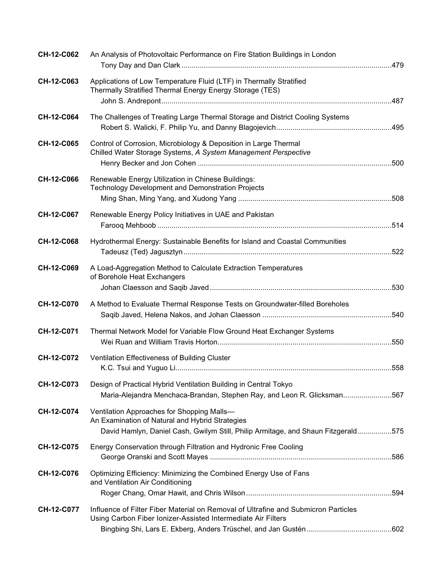| CH-12-C062        | An Analysis of Photovoltaic Performance on Fire Station Buildings in London                                                                                                        |  |
|-------------------|------------------------------------------------------------------------------------------------------------------------------------------------------------------------------------|--|
| CH-12-C063        | Applications of Low Temperature Fluid (LTF) in Thermally Stratified<br>Thermally Stratified Thermal Energy Energy Storage (TES)                                                    |  |
| CH-12-C064        | The Challenges of Treating Large Thermal Storage and District Cooling Systems                                                                                                      |  |
| CH-12-C065        | Control of Corrosion, Microbiology & Deposition in Large Thermal<br>Chilled Water Storage Systems, A System Management Perspective                                                 |  |
| CH-12-C066        | Renewable Energy Utilization in Chinese Buildings:<br>Technology Development and Demonstration Projects                                                                            |  |
| CH-12-C067        | Renewable Energy Policy Initiatives in UAE and Pakistan                                                                                                                            |  |
| <b>CH-12-C068</b> | Hydrothermal Energy: Sustainable Benefits for Island and Coastal Communities                                                                                                       |  |
| CH-12-C069        | A Load-Aggregation Method to Calculate Extraction Temperatures<br>of Borehole Heat Exchangers                                                                                      |  |
| CH-12-C070        | A Method to Evaluate Thermal Response Tests on Groundwater-filled Boreholes                                                                                                        |  |
| CH-12-C071        | Thermal Network Model for Variable Flow Ground Heat Exchanger Systems                                                                                                              |  |
| CH-12-C072        | Ventilation Effectiveness of Building Cluster                                                                                                                                      |  |
| CH-12-C073        | Design of Practical Hybrid Ventilation Building in Central Tokyo<br>Maria-Alejandra Menchaca-Brandan, Stephen Ray, and Leon R. Glicksman567                                        |  |
| CH-12-C074        | Ventilation Approaches for Shopping Malls-<br>An Examination of Natural and Hybrid Strategies<br>David Hamlyn, Daniel Cash, Gwilym Still, Philip Armitage, and Shaun Fitzgerald575 |  |
| CH-12-C075        | Energy Conservation through Filtration and Hydronic Free Cooling                                                                                                                   |  |
| CH-12-C076        | Optimizing Efficiency: Minimizing the Combined Energy Use of Fans<br>and Ventilation Air Conditioning                                                                              |  |
| CH-12-C077        | Influence of Filter Fiber Material on Removal of Ultrafine and Submicron Particles<br>Using Carbon Fiber Ionizer-Assisted Intermediate Air Filters                                 |  |
|                   |                                                                                                                                                                                    |  |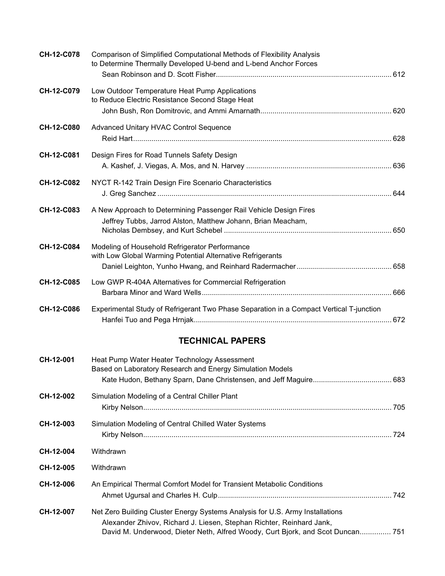| CH-12-C078        | Comparison of Simplified Computational Methods of Flexibility Analysis<br>to Determine Thermally Developed U-bend and L-bend Anchor Forces |  |
|-------------------|--------------------------------------------------------------------------------------------------------------------------------------------|--|
| CH-12-C079        | Low Outdoor Temperature Heat Pump Applications<br>to Reduce Electric Resistance Second Stage Heat                                          |  |
| <b>CH-12-C080</b> | Advanced Unitary HVAC Control Sequence                                                                                                     |  |
| CH-12-C081        | Design Fires for Road Tunnels Safety Design                                                                                                |  |
| CH-12-C082        | NYCT R-142 Train Design Fire Scenario Characteristics                                                                                      |  |
| CH-12-C083        | A New Approach to Determining Passenger Rail Vehicle Design Fires<br>Jeffrey Tubbs, Jarrod Alston, Matthew Johann, Brian Meacham,          |  |
| CH-12-C084        | Modeling of Household Refrigerator Performance<br>with Low Global Warming Potential Alternative Refrigerants                               |  |
| CH-12-C085        | Low GWP R-404A Alternatives for Commercial Refrigeration                                                                                   |  |
| CH-12-C086        | Experimental Study of Refrigerant Two Phase Separation in a Compact Vertical T-junction                                                    |  |

## **TECHNICAL PAPERS**

| CH-12-001 | Heat Pump Water Heater Technology Assessment<br>Based on Laboratory Research and Energy Simulation Models                                                                                                                               |     |
|-----------|-----------------------------------------------------------------------------------------------------------------------------------------------------------------------------------------------------------------------------------------|-----|
| CH-12-002 | Simulation Modeling of a Central Chiller Plant                                                                                                                                                                                          |     |
| CH-12-003 | Simulation Modeling of Central Chilled Water Systems                                                                                                                                                                                    | 724 |
| CH-12-004 | Withdrawn                                                                                                                                                                                                                               |     |
| CH-12-005 | Withdrawn                                                                                                                                                                                                                               |     |
| CH-12-006 | An Empirical Thermal Comfort Model for Transient Metabolic Conditions                                                                                                                                                                   |     |
| CH-12-007 | Net Zero Building Cluster Energy Systems Analysis for U.S. Army Installations<br>Alexander Zhivov, Richard J. Liesen, Stephan Richter, Reinhard Jank,<br>David M. Underwood, Dieter Neth, Alfred Woody, Curt Bjork, and Scot Duncan 751 |     |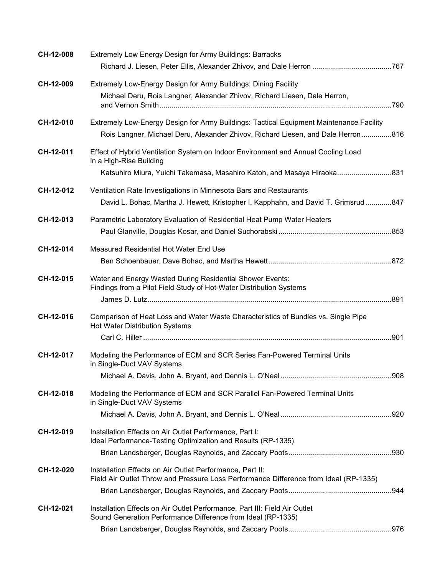| CH-12-008 | Extremely Low Energy Design for Army Buildings: Barracks                                                                                         |  |
|-----------|--------------------------------------------------------------------------------------------------------------------------------------------------|--|
|           |                                                                                                                                                  |  |
| CH-12-009 | Extremely Low-Energy Design for Army Buildings: Dining Facility                                                                                  |  |
|           | Michael Deru, Rois Langner, Alexander Zhivov, Richard Liesen, Dale Herron,                                                                       |  |
| CH-12-010 | Extremely Low-Energy Design for Army Buildings: Tactical Equipment Maintenance Facility                                                          |  |
|           | Rois Langner, Michael Deru, Alexander Zhivov, Richard Liesen, and Dale Herron816                                                                 |  |
| CH-12-011 | Effect of Hybrid Ventilation System on Indoor Environment and Annual Cooling Load<br>in a High-Rise Building                                     |  |
|           | Katsuhiro Miura, Yuichi Takemasa, Masahiro Katoh, and Masaya Hiraoka831                                                                          |  |
| CH-12-012 | Ventilation Rate Investigations in Minnesota Bars and Restaurants                                                                                |  |
|           | David L. Bohac, Martha J. Hewett, Kristopher I. Kapphahn, and David T. Grimsrud847                                                               |  |
| CH-12-013 | Parametric Laboratory Evaluation of Residential Heat Pump Water Heaters                                                                          |  |
|           |                                                                                                                                                  |  |
| CH-12-014 | Measured Residential Hot Water End Use                                                                                                           |  |
|           |                                                                                                                                                  |  |
| CH-12-015 | Water and Energy Wasted During Residential Shower Events:<br>Findings from a Pilot Field Study of Hot-Water Distribution Systems                 |  |
|           |                                                                                                                                                  |  |
| CH-12-016 | Comparison of Heat Loss and Water Waste Characteristics of Bundles vs. Single Pipe<br><b>Hot Water Distribution Systems</b>                      |  |
|           |                                                                                                                                                  |  |
| CH-12-017 | Modeling the Performance of ECM and SCR Series Fan-Powered Terminal Units<br>in Single-Duct VAV Systems                                          |  |
|           |                                                                                                                                                  |  |
| CH-12-018 | Modeling the Performance of ECM and SCR Parallel Fan-Powered Terminal Units<br>in Single-Duct VAV Systems                                        |  |
|           |                                                                                                                                                  |  |
| CH-12-019 | Installation Effects on Air Outlet Performance, Part I:<br>Ideal Performance-Testing Optimization and Results (RP-1335)                          |  |
|           |                                                                                                                                                  |  |
| CH-12-020 | Installation Effects on Air Outlet Performance, Part II:<br>Field Air Outlet Throw and Pressure Loss Performance Difference from Ideal (RP-1335) |  |
|           |                                                                                                                                                  |  |
| CH-12-021 | Installation Effects on Air Outlet Performance, Part III: Field Air Outlet<br>Sound Generation Performance Difference from Ideal (RP-1335)       |  |
|           |                                                                                                                                                  |  |